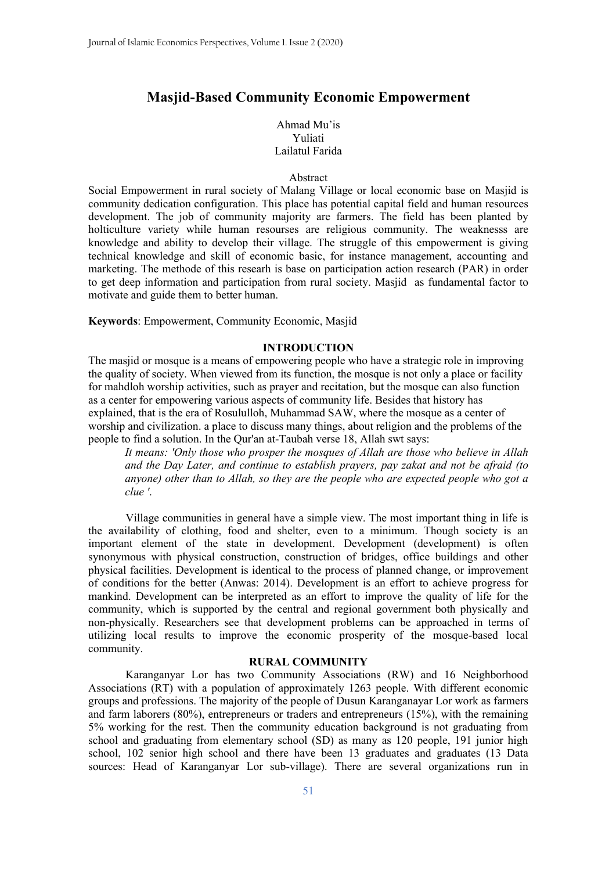# **Masjid-Based Community Economic Empowerment**

# Ahmad Mu'is Yuliati Lailatul Farida

# Abstract

Social Empowerment in rural society of Malang Village or local economic base on Masjid is community dedication configuration. This place has potential capital field and human resources development. The job of community majority are farmers. The field has been planted by holticulture variety while human resourses are religious community. The weaknesss are knowledge and ability to develop their village. The struggle of this empowerment is giving technical knowledge and skill of economic basic, for instance management, accounting and marketing. The methode of this researh is base on participation action research (PAR) in order to get deep information and participation from rural society. Masjid as fundamental factor to motivate and guide them to better human.

**Keywords**: Empowerment, Community Economic, Masjid

### **INTRODUCTION**

The masjid or mosque is a means of empowering people who have a strategic role in improving the quality of society. When viewed from its function, the mosque is not only a place or facility for mahdloh worship activities, such as prayer and recitation, but the mosque can also function as a center for empowering various aspects of community life. Besides that history has explained, that is the era of Rosululloh, Muhammad SAW, where the mosque as a center of worship and civilization. a place to discuss many things, about religion and the problems of the people to find a solution. In the Qur'an at-Taubah verse 18, Allah swt says:

*It means: 'Only those who prosper the mosques of Allah are those who believe in Allah and the Day Later, and continue to establish prayers, pay zakat and not be afraid (to anyone) other than to Allah, so they are the people who are expected people who got a clue '*.

Village communities in general have a simple view. The most important thing in life is the availability of clothing, food and shelter, even to a minimum. Though society is an important element of the state in development. Development (development) is often synonymous with physical construction, construction of bridges, office buildings and other physical facilities. Development is identical to the process of planned change, or improvement of conditions for the better (Anwas: 2014). Development is an effort to achieve progress for mankind. Development can be interpreted as an effort to improve the quality of life for the community, which is supported by the central and regional government both physically and non-physically. Researchers see that development problems can be approached in terms of utilizing local results to improve the economic prosperity of the mosque-based local community.

### **RURAL COMMUNITY**

Karanganyar Lor has two Community Associations (RW) and 16 Neighborhood Associations (RT) with a population of approximately 1263 people. With different economic groups and professions. The majority of the people of Dusun Karanganayar Lor work as farmers and farm laborers (80%), entrepreneurs or traders and entrepreneurs (15%), with the remaining 5% working for the rest. Then the community education background is not graduating from school and graduating from elementary school (SD) as many as 120 people, 191 junior high school, 102 senior high school and there have been 13 graduates and graduates (13 Data sources: Head of Karanganyar Lor sub-village). There are several organizations run in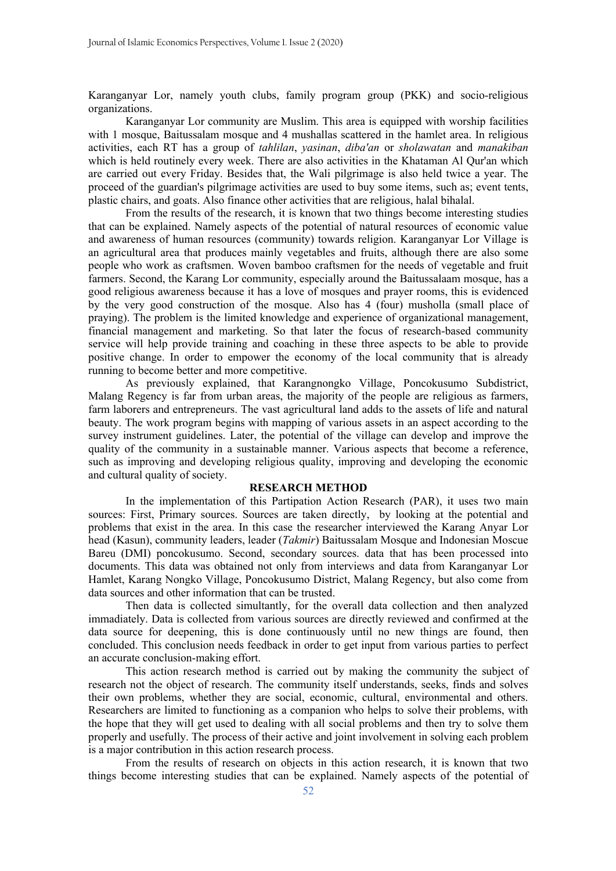Karanganyar Lor, namely youth clubs, family program group (PKK) and socio-religious organizations.

Karanganyar Lor community are Muslim. This area is equipped with worship facilities with 1 mosque, Baitussalam mosque and 4 mushallas scattered in the hamlet area. In religious activities, each RT has a group of *tahlilan*, *yasinan*, *diba'an* or *sholawatan* and *manakiban* which is held routinely every week. There are also activities in the Khataman Al Qur'an which are carried out every Friday. Besides that, the Wali pilgrimage is also held twice a year. The proceed of the guardian's pilgrimage activities are used to buy some items, such as; event tents, plastic chairs, and goats. Also finance other activities that are religious, halal bihalal.

From the results of the research, it is known that two things become interesting studies that can be explained. Namely aspects of the potential of natural resources of economic value and awareness of human resources (community) towards religion. Karanganyar Lor Village is an agricultural area that produces mainly vegetables and fruits, although there are also some people who work as craftsmen. Woven bamboo craftsmen for the needs of vegetable and fruit farmers. Second, the Karang Lor community, especially around the Baitussalaam mosque, has a good religious awareness because it has a love of mosques and prayer rooms, this is evidenced by the very good construction of the mosque. Also has 4 (four) musholla (small place of praying). The problem is the limited knowledge and experience of organizational management, financial management and marketing. So that later the focus of research-based community service will help provide training and coaching in these three aspects to be able to provide positive change. In order to empower the economy of the local community that is already running to become better and more competitive.

As previously explained, that Karangnongko Village, Poncokusumo Subdistrict, Malang Regency is far from urban areas, the majority of the people are religious as farmers, farm laborers and entrepreneurs. The vast agricultural land adds to the assets of life and natural beauty. The work program begins with mapping of various assets in an aspect according to the survey instrument guidelines. Later, the potential of the village can develop and improve the quality of the community in a sustainable manner. Various aspects that become a reference, such as improving and developing religious quality, improving and developing the economic and cultural quality of society.

#### **RESEARCH METHOD**

In the implementation of this Partipation Action Research (PAR), it uses two main sources: First, Primary sources. Sources are taken directly, by looking at the potential and problems that exist in the area. In this case the researcher interviewed the Karang Anyar Lor head (Kasun), community leaders, leader (*Takmir*) Baitussalam Mosque and Indonesian Moscue Bareu (DMI) poncokusumo. Second, secondary sources. data that has been processed into documents. This data was obtained not only from interviews and data from Karanganyar Lor Hamlet, Karang Nongko Village, Poncokusumo District, Malang Regency, but also come from data sources and other information that can be trusted.

Then data is collected simultantly, for the overall data collection and then analyzed immadiately. Data is collected from various sources are directly reviewed and confirmed at the data source for deepening, this is done continuously until no new things are found, then concluded. This conclusion needs feedback in order to get input from various parties to perfect an accurate conclusion-making effort.

This action research method is carried out by making the community the subject of research not the object of research. The community itself understands, seeks, finds and solves their own problems, whether they are social, economic, cultural, environmental and others. Researchers are limited to functioning as a companion who helps to solve their problems, with the hope that they will get used to dealing with all social problems and then try to solve them properly and usefully. The process of their active and joint involvement in solving each problem is a major contribution in this action research process.

From the results of research on objects in this action research, it is known that two things become interesting studies that can be explained. Namely aspects of the potential of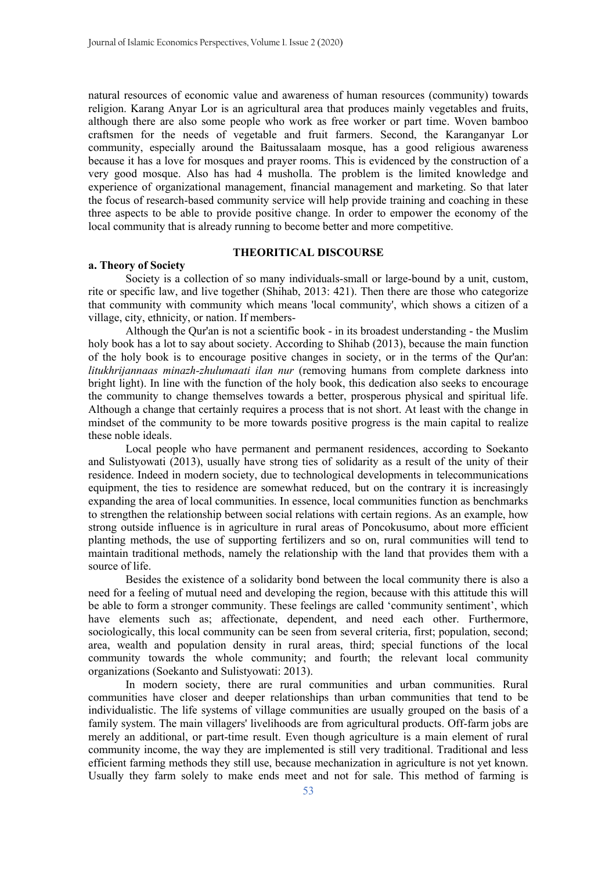natural resources of economic value and awareness of human resources (community) towards religion. Karang Anyar Lor is an agricultural area that produces mainly vegetables and fruits, although there are also some people who work as free worker or part time. Woven bamboo craftsmen for the needs of vegetable and fruit farmers. Second, the Karanganyar Lor community, especially around the Baitussalaam mosque, has a good religious awareness because it has a love for mosques and prayer rooms. This is evidenced by the construction of a very good mosque. Also has had 4 musholla. The problem is the limited knowledge and experience of organizational management, financial management and marketing. So that later the focus of research-based community service will help provide training and coaching in these three aspects to be able to provide positive change. In order to empower the economy of the local community that is already running to become better and more competitive.

# **THEORITICAL DISCOURSE**

# **a. Theory of Society**

Society is a collection of so many individuals-small or large-bound by a unit, custom, rite or specific law, and live together (Shihab, 2013: 421). Then there are those who categorize that community with community which means 'local community', which shows a citizen of a village, city, ethnicity, or nation. If members-

Although the Qur'an is not a scientific book - in its broadest understanding - the Muslim holy book has a lot to say about society. According to Shihab (2013), because the main function of the holy book is to encourage positive changes in society, or in the terms of the Qur'an: *litukhrijannaas minazh-zhulumaati ilan nur* (removing humans from complete darkness into bright light). In line with the function of the holy book, this dedication also seeks to encourage the community to change themselves towards a better, prosperous physical and spiritual life. Although a change that certainly requires a process that is not short. At least with the change in mindset of the community to be more towards positive progress is the main capital to realize these noble ideals.

Local people who have permanent and permanent residences, according to Soekanto and Sulistyowati (2013), usually have strong ties of solidarity as a result of the unity of their residence. Indeed in modern society, due to technological developments in telecommunications equipment, the ties to residence are somewhat reduced, but on the contrary it is increasingly expanding the area of local communities. In essence, local communities function as benchmarks to strengthen the relationship between social relations with certain regions. As an example, how strong outside influence is in agriculture in rural areas of Poncokusumo, about more efficient planting methods, the use of supporting fertilizers and so on, rural communities will tend to maintain traditional methods, namely the relationship with the land that provides them with a source of life.

Besides the existence of a solidarity bond between the local community there is also a need for a feeling of mutual need and developing the region, because with this attitude this will be able to form a stronger community. These feelings are called 'community sentiment', which have elements such as; affectionate, dependent, and need each other. Furthermore, sociologically, this local community can be seen from several criteria, first; population, second; area, wealth and population density in rural areas, third; special functions of the local community towards the whole community; and fourth; the relevant local community organizations (Soekanto and Sulistyowati: 2013).

In modern society, there are rural communities and urban communities. Rural communities have closer and deeper relationships than urban communities that tend to be individualistic. The life systems of village communities are usually grouped on the basis of a family system. The main villagers' livelihoods are from agricultural products. Off-farm jobs are merely an additional, or part-time result. Even though agriculture is a main element of rural community income, the way they are implemented is still very traditional. Traditional and less efficient farming methods they still use, because mechanization in agriculture is not yet known. Usually they farm solely to make ends meet and not for sale. This method of farming is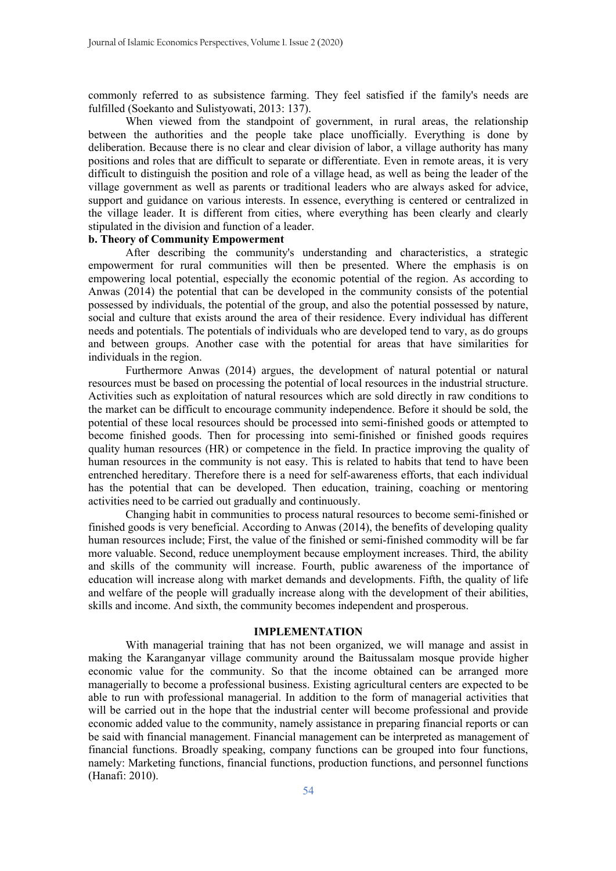commonly referred to as subsistence farming. They feel satisfied if the family's needs are fulfilled (Soekanto and Sulistyowati, 2013: 137).

When viewed from the standpoint of government, in rural areas, the relationship between the authorities and the people take place unofficially. Everything is done by deliberation. Because there is no clear and clear division of labor, a village authority has many positions and roles that are difficult to separate or differentiate. Even in remote areas, it is very difficult to distinguish the position and role of a village head, as well as being the leader of the village government as well as parents or traditional leaders who are always asked for advice, support and guidance on various interests. In essence, everything is centered or centralized in the village leader. It is different from cities, where everything has been clearly and clearly stipulated in the division and function of a leader.

# **b. Theory of Community Empowerment**

After describing the community's understanding and characteristics, a strategic empowerment for rural communities will then be presented. Where the emphasis is on empowering local potential, especially the economic potential of the region. As according to Anwas (2014) the potential that can be developed in the community consists of the potential possessed by individuals, the potential of the group, and also the potential possessed by nature, social and culture that exists around the area of their residence. Every individual has different needs and potentials. The potentials of individuals who are developed tend to vary, as do groups and between groups. Another case with the potential for areas that have similarities for individuals in the region.

Furthermore Anwas (2014) argues, the development of natural potential or natural resources must be based on processing the potential of local resources in the industrial structure. Activities such as exploitation of natural resources which are sold directly in raw conditions to the market can be difficult to encourage community independence. Before it should be sold, the potential of these local resources should be processed into semi-finished goods or attempted to become finished goods. Then for processing into semi-finished or finished goods requires quality human resources (HR) or competence in the field. In practice improving the quality of human resources in the community is not easy. This is related to habits that tend to have been entrenched hereditary. Therefore there is a need for self-awareness efforts, that each individual has the potential that can be developed. Then education, training, coaching or mentoring activities need to be carried out gradually and continuously.

Changing habit in communities to process natural resources to become semi-finished or finished goods is very beneficial. According to Anwas (2014), the benefits of developing quality human resources include; First, the value of the finished or semi-finished commodity will be far more valuable. Second, reduce unemployment because employment increases. Third, the ability and skills of the community will increase. Fourth, public awareness of the importance of education will increase along with market demands and developments. Fifth, the quality of life and welfare of the people will gradually increase along with the development of their abilities, skills and income. And sixth, the community becomes independent and prosperous.

#### **IMPLEMENTATION**

With managerial training that has not been organized, we will manage and assist in making the Karanganyar village community around the Baitussalam mosque provide higher economic value for the community. So that the income obtained can be arranged more managerially to become a professional business. Existing agricultural centers are expected to be able to run with professional managerial. In addition to the form of managerial activities that will be carried out in the hope that the industrial center will become professional and provide economic added value to the community, namely assistance in preparing financial reports or can be said with financial management. Financial management can be interpreted as management of financial functions. Broadly speaking, company functions can be grouped into four functions, namely: Marketing functions, financial functions, production functions, and personnel functions (Hanafi: 2010).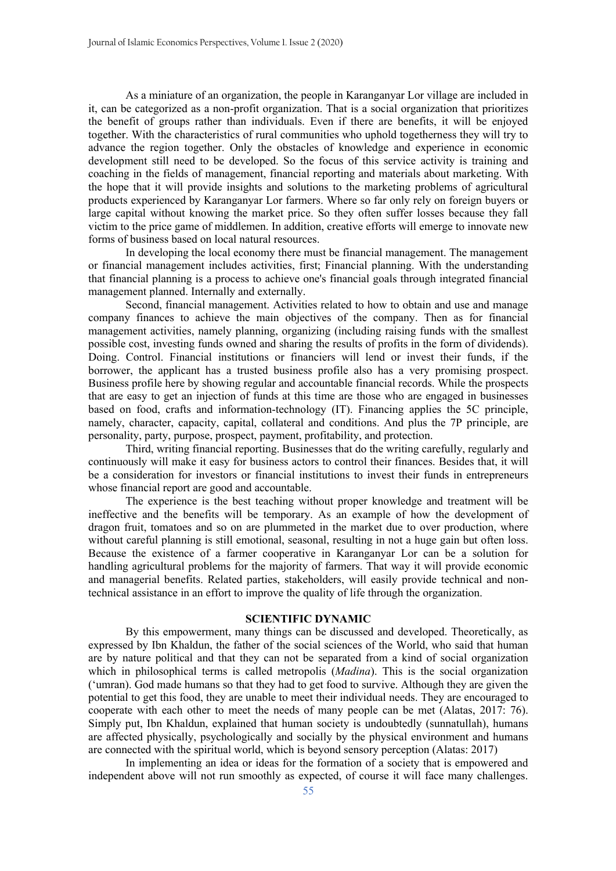As a miniature of an organization, the people in Karanganyar Lor village are included in it, can be categorized as a non-profit organization. That is a social organization that prioritizes the benefit of groups rather than individuals. Even if there are benefits, it will be enjoyed together. With the characteristics of rural communities who uphold togetherness they will try to advance the region together. Only the obstacles of knowledge and experience in economic development still need to be developed. So the focus of this service activity is training and coaching in the fields of management, financial reporting and materials about marketing. With the hope that it will provide insights and solutions to the marketing problems of agricultural products experienced by Karanganyar Lor farmers. Where so far only rely on foreign buyers or large capital without knowing the market price. So they often suffer losses because they fall victim to the price game of middlemen. In addition, creative efforts will emerge to innovate new forms of business based on local natural resources.

In developing the local economy there must be financial management. The management or financial management includes activities, first; Financial planning. With the understanding that financial planning is a process to achieve one's financial goals through integrated financial management planned. Internally and externally.

Second, financial management. Activities related to how to obtain and use and manage company finances to achieve the main objectives of the company. Then as for financial management activities, namely planning, organizing (including raising funds with the smallest possible cost, investing funds owned and sharing the results of profits in the form of dividends). Doing. Control. Financial institutions or financiers will lend or invest their funds, if the borrower, the applicant has a trusted business profile also has a very promising prospect. Business profile here by showing regular and accountable financial records. While the prospects that are easy to get an injection of funds at this time are those who are engaged in businesses based on food, crafts and information-technology (IT). Financing applies the 5C principle, namely, character, capacity, capital, collateral and conditions. And plus the 7P principle, are personality, party, purpose, prospect, payment, profitability, and protection.

Third, writing financial reporting. Businesses that do the writing carefully, regularly and continuously will make it easy for business actors to control their finances. Besides that, it will be a consideration for investors or financial institutions to invest their funds in entrepreneurs whose financial report are good and accountable.

The experience is the best teaching without proper knowledge and treatment will be ineffective and the benefits will be temporary. As an example of how the development of dragon fruit, tomatoes and so on are plummeted in the market due to over production, where without careful planning is still emotional, seasonal, resulting in not a huge gain but often loss. Because the existence of a farmer cooperative in Karanganyar Lor can be a solution for handling agricultural problems for the majority of farmers. That way it will provide economic and managerial benefits. Related parties, stakeholders, will easily provide technical and nontechnical assistance in an effort to improve the quality of life through the organization.

# **SCIENTIFIC DYNAMIC**

By this empowerment, many things can be discussed and developed. Theoretically, as expressed by Ibn Khaldun, the father of the social sciences of the World, who said that human are by nature political and that they can not be separated from a kind of social organization which in philosophical terms is called metropolis (*Madina*). This is the social organization ('umran). God made humans so that they had to get food to survive. Although they are given the potential to get this food, they are unable to meet their individual needs. They are encouraged to cooperate with each other to meet the needs of many people can be met (Alatas, 2017: 76). Simply put, Ibn Khaldun, explained that human society is undoubtedly (sunnatullah), humans are affected physically, psychologically and socially by the physical environment and humans are connected with the spiritual world, which is beyond sensory perception (Alatas: 2017)

In implementing an idea or ideas for the formation of a society that is empowered and independent above will not run smoothly as expected, of course it will face many challenges.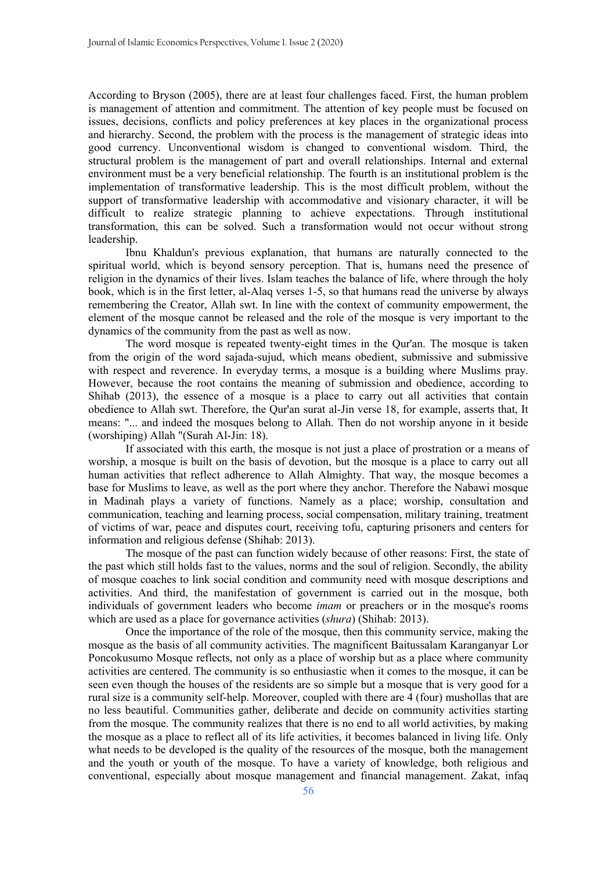According to Bryson (2005), there are at least four challenges faced. First, the human problem is management of attention and commitment. The attention of key people must be focused on issues, decisions, conflicts and policy preferences at key places in the organizational process and hierarchy. Second, the problem with the process is the management of strategic ideas into good currency. Unconventional wisdom is changed to conventional wisdom. Third, the structural problem is the management of part and overall relationships. Internal and external environment must be a very beneficial relationship. The fourth is an institutional problem is the implementation of transformative leadership. This is the most difficult problem, without the support of transformative leadership with accommodative and visionary character, it will be difficult to realize strategic planning to achieve expectations. Through institutional transformation, this can be solved. Such a transformation would not occur without strong leadership.

Ibnu Khaldun's previous explanation, that humans are naturally connected to the spiritual world, which is beyond sensory perception. That is, humans need the presence of religion in the dynamics of their lives. Islam teaches the balance of life, where through the holy book, which is in the first letter, al-Alaq verses 1-5, so that humans read the universe by always remembering the Creator, Allah swt. In line with the context of community empowerment, the element of the mosque cannot be released and the role of the mosque is very important to the dynamics of the community from the past as well as now.

The word mosque is repeated twenty-eight times in the Qur'an. The mosque is taken from the origin of the word sajada-sujud, which means obedient, submissive and submissive with respect and reverence. In everyday terms, a mosque is a building where Muslims pray. However, because the root contains the meaning of submission and obedience, according to Shihab (2013), the essence of a mosque is a place to carry out all activities that contain obedience to Allah swt. Therefore, the Qur'an surat al-Jin verse 18, for example, asserts that, It means: "... and indeed the mosques belong to Allah. Then do not worship anyone in it beside (worshiping) Allah "(Surah Al-Jin: 18).

If associated with this earth, the mosque is not just a place of prostration or a means of worship, a mosque is built on the basis of devotion, but the mosque is a place to carry out all human activities that reflect adherence to Allah Almighty. That way, the mosque becomes a base for Muslims to leave, as well as the port where they anchor. Therefore the Nabawi mosque in Madinah plays a variety of functions. Namely as a place; worship, consultation and communication, teaching and learning process, social compensation, military training, treatment of victims of war, peace and disputes court, receiving tofu, capturing prisoners and centers for information and religious defense (Shihab: 2013).

The mosque of the past can function widely because of other reasons: First, the state of the past which still holds fast to the values, norms and the soul of religion. Secondly, the ability of mosque coaches to link social condition and community need with mosque descriptions and activities. And third, the manifestation of government is carried out in the mosque, both individuals of government leaders who become *imam* or preachers or in the mosque's rooms which are used as a place for governance activities (*shura*) (Shihab: 2013).

Once the importance of the role of the mosque, then this community service, making the mosque as the basis of all community activities. The magnificent Baitussalam Karanganyar Lor Poncokusumo Mosque reflects, not only as a place of worship but as a place where community activities are centered. The community is so enthusiastic when it comes to the mosque, it can be seen even though the houses of the residents are so simple but a mosque that is very good for a rural size is a community self-help. Moreover, coupled with there are 4 (four) mushollas that are no less beautiful. Communities gather, deliberate and decide on community activities starting from the mosque. The community realizes that there is no end to all world activities, by making the mosque as a place to reflect all of its life activities, it becomes balanced in living life. Only what needs to be developed is the quality of the resources of the mosque, both the management and the youth or youth of the mosque. To have a variety of knowledge, both religious and conventional, especially about mosque management and financial management. Zakat, infaq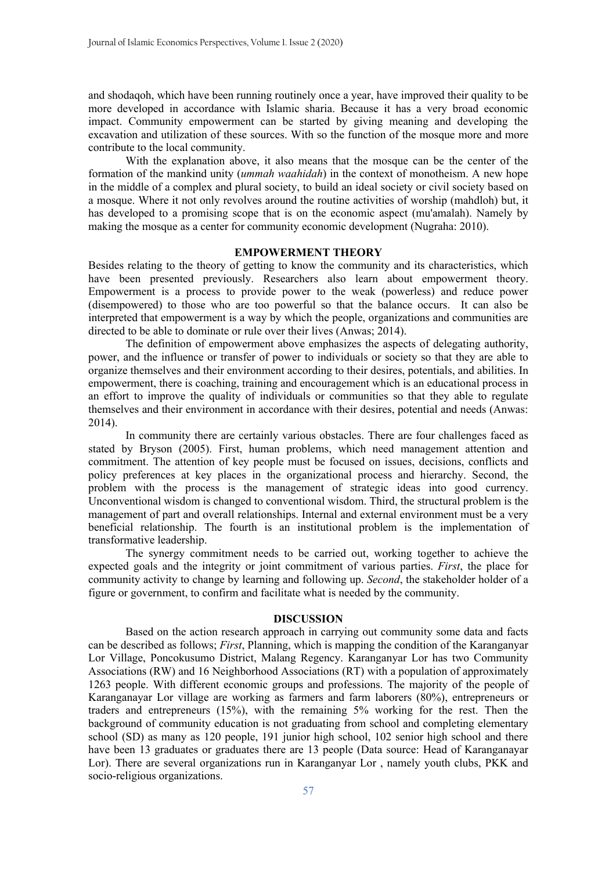and shodaqoh, which have been running routinely once a year, have improved their quality to be more developed in accordance with Islamic sharia. Because it has a very broad economic impact. Community empowerment can be started by giving meaning and developing the excavation and utilization of these sources. With so the function of the mosque more and more contribute to the local community.

With the explanation above, it also means that the mosque can be the center of the formation of the mankind unity (*ummah waahidah*) in the context of monotheism. A new hope in the middle of a complex and plural society, to build an ideal society or civil society based on a mosque. Where it not only revolves around the routine activities of worship (mahdloh) but, it has developed to a promising scope that is on the economic aspect (mu'amalah). Namely by making the mosque as a center for community economic development (Nugraha: 2010).

### **EMPOWERMENT THEORY**

Besides relating to the theory of getting to know the community and its characteristics, which have been presented previously. Researchers also learn about empowerment theory. Empowerment is a process to provide power to the weak (powerless) and reduce power (disempowered) to those who are too powerful so that the balance occurs. It can also be interpreted that empowerment is a way by which the people, organizations and communities are directed to be able to dominate or rule over their lives (Anwas; 2014).

The definition of empowerment above emphasizes the aspects of delegating authority, power, and the influence or transfer of power to individuals or society so that they are able to organize themselves and their environment according to their desires, potentials, and abilities. In empowerment, there is coaching, training and encouragement which is an educational process in an effort to improve the quality of individuals or communities so that they able to regulate themselves and their environment in accordance with their desires, potential and needs (Anwas: 2014).

In community there are certainly various obstacles. There are four challenges faced as stated by Bryson (2005). First, human problems, which need management attention and commitment. The attention of key people must be focused on issues, decisions, conflicts and policy preferences at key places in the organizational process and hierarchy. Second, the problem with the process is the management of strategic ideas into good currency. Unconventional wisdom is changed to conventional wisdom. Third, the structural problem is the management of part and overall relationships. Internal and external environment must be a very beneficial relationship. The fourth is an institutional problem is the implementation of transformative leadership.

The synergy commitment needs to be carried out, working together to achieve the expected goals and the integrity or joint commitment of various parties. *First*, the place for community activity to change by learning and following up. *Second*, the stakeholder holder of a figure or government, to confirm and facilitate what is needed by the community.

# **DISCUSSION**

Based on the action research approach in carrying out community some data and facts can be described as follows; *First*, Planning, which is mapping the condition of the Karanganyar Lor Village, Poncokusumo District, Malang Regency. Karanganyar Lor has two Community Associations (RW) and 16 Neighborhood Associations (RT) with a population of approximately 1263 people. With different economic groups and professions. The majority of the people of Karanganayar Lor village are working as farmers and farm laborers (80%), entrepreneurs or traders and entrepreneurs (15%), with the remaining 5% working for the rest. Then the background of community education is not graduating from school and completing elementary school (SD) as many as 120 people, 191 junior high school, 102 senior high school and there have been 13 graduates or graduates there are 13 people (Data source: Head of Karanganayar Lor). There are several organizations run in Karanganyar Lor , namely youth clubs, PKK and socio-religious organizations.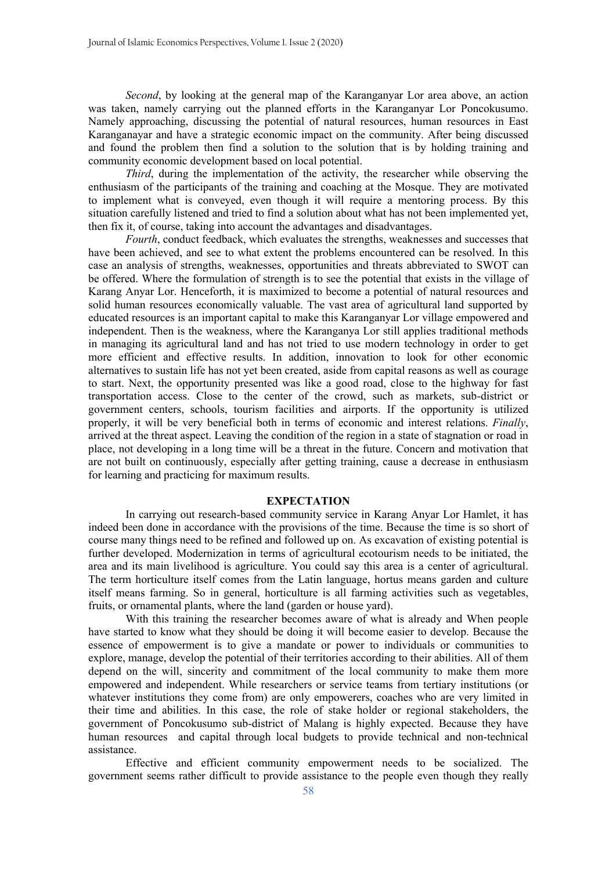*Second*, by looking at the general map of the Karanganyar Lor area above, an action was taken, namely carrying out the planned efforts in the Karanganyar Lor Poncokusumo. Namely approaching, discussing the potential of natural resources, human resources in East Karanganayar and have a strategic economic impact on the community. After being discussed and found the problem then find a solution to the solution that is by holding training and community economic development based on local potential.

*Third*, during the implementation of the activity, the researcher while observing the enthusiasm of the participants of the training and coaching at the Mosque. They are motivated to implement what is conveyed, even though it will require a mentoring process. By this situation carefully listened and tried to find a solution about what has not been implemented yet, then fix it, of course, taking into account the advantages and disadvantages.

*Fourth*, conduct feedback, which evaluates the strengths, weaknesses and successes that have been achieved, and see to what extent the problems encountered can be resolved. In this case an analysis of strengths, weaknesses, opportunities and threats abbreviated to SWOT can be offered. Where the formulation of strength is to see the potential that exists in the village of Karang Anyar Lor. Henceforth, it is maximized to become a potential of natural resources and solid human resources economically valuable. The vast area of agricultural land supported by educated resources is an important capital to make this Karanganyar Lor village empowered and independent. Then is the weakness, where the Karanganya Lor still applies traditional methods in managing its agricultural land and has not tried to use modern technology in order to get more efficient and effective results. In addition, innovation to look for other economic alternatives to sustain life has not yet been created, aside from capital reasons as well as courage to start. Next, the opportunity presented was like a good road, close to the highway for fast transportation access. Close to the center of the crowd, such as markets, sub-district or government centers, schools, tourism facilities and airports. If the opportunity is utilized properly, it will be very beneficial both in terms of economic and interest relations. *Finally*, arrived at the threat aspect. Leaving the condition of the region in a state of stagnation or road in place, not developing in a long time will be a threat in the future. Concern and motivation that are not built on continuously, especially after getting training, cause a decrease in enthusiasm for learning and practicing for maximum results.

#### **EXPECTATION**

In carrying out research-based community service in Karang Anyar Lor Hamlet, it has indeed been done in accordance with the provisions of the time. Because the time is so short of course many things need to be refined and followed up on. As excavation of existing potential is further developed. Modernization in terms of agricultural ecotourism needs to be initiated, the area and its main livelihood is agriculture. You could say this area is a center of agricultural. The term horticulture itself comes from the Latin language, hortus means garden and culture itself means farming. So in general, horticulture is all farming activities such as vegetables, fruits, or ornamental plants, where the land (garden or house yard).

With this training the researcher becomes aware of what is already and When people have started to know what they should be doing it will become easier to develop. Because the essence of empowerment is to give a mandate or power to individuals or communities to explore, manage, develop the potential of their territories according to their abilities. All of them depend on the will, sincerity and commitment of the local community to make them more empowered and independent. While researchers or service teams from tertiary institutions (or whatever institutions they come from) are only empowerers, coaches who are very limited in their time and abilities. In this case, the role of stake holder or regional stakeholders, the government of Poncokusumo sub-district of Malang is highly expected. Because they have human resources and capital through local budgets to provide technical and non-technical assistance.

Effective and efficient community empowerment needs to be socialized. The government seems rather difficult to provide assistance to the people even though they really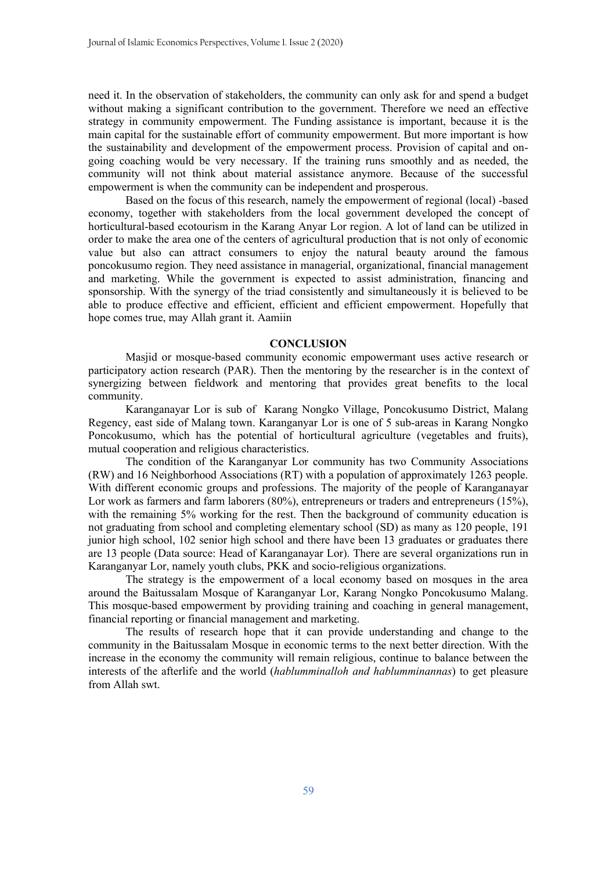need it. In the observation of stakeholders, the community can only ask for and spend a budget without making a significant contribution to the government. Therefore we need an effective strategy in community empowerment. The Funding assistance is important, because it is the main capital for the sustainable effort of community empowerment. But more important is how the sustainability and development of the empowerment process. Provision of capital and ongoing coaching would be very necessary. If the training runs smoothly and as needed, the community will not think about material assistance anymore. Because of the successful empowerment is when the community can be independent and prosperous.

Based on the focus of this research, namely the empowerment of regional (local) -based economy, together with stakeholders from the local government developed the concept of horticultural-based ecotourism in the Karang Anyar Lor region. A lot of land can be utilized in order to make the area one of the centers of agricultural production that is not only of economic value but also can attract consumers to enjoy the natural beauty around the famous poncokusumo region. They need assistance in managerial, organizational, financial management and marketing. While the government is expected to assist administration, financing and sponsorship. With the synergy of the triad consistently and simultaneously it is believed to be able to produce effective and efficient, efficient and efficient empowerment. Hopefully that hope comes true, may Allah grant it. Aamiin

#### **CONCLUSION**

Masjid or mosque-based community economic empowermant uses active research or participatory action research (PAR). Then the mentoring by the researcher is in the context of synergizing between fieldwork and mentoring that provides great benefits to the local community.

Karanganayar Lor is sub of Karang Nongko Village, Poncokusumo District, Malang Regency, east side of Malang town. Karanganyar Lor is one of 5 sub-areas in Karang Nongko Poncokusumo, which has the potential of horticultural agriculture (vegetables and fruits), mutual cooperation and religious characteristics.

The condition of the Karanganyar Lor community has two Community Associations (RW) and 16 Neighborhood Associations (RT) with a population of approximately 1263 people. With different economic groups and professions. The majority of the people of Karanganayar Lor work as farmers and farm laborers (80%), entrepreneurs or traders and entrepreneurs (15%), with the remaining 5% working for the rest. Then the background of community education is not graduating from school and completing elementary school (SD) as many as 120 people, 191 junior high school, 102 senior high school and there have been 13 graduates or graduates there are 13 people (Data source: Head of Karanganayar Lor). There are several organizations run in Karanganyar Lor, namely youth clubs, PKK and socio-religious organizations.

The strategy is the empowerment of a local economy based on mosques in the area around the Baitussalam Mosque of Karanganyar Lor, Karang Nongko Poncokusumo Malang. This mosque-based empowerment by providing training and coaching in general management, financial reporting or financial management and marketing.

The results of research hope that it can provide understanding and change to the community in the Baitussalam Mosque in economic terms to the next better direction. With the increase in the economy the community will remain religious, continue to balance between the interests of the afterlife and the world (*hablumminalloh and hablumminannas*) to get pleasure from Allah swt.